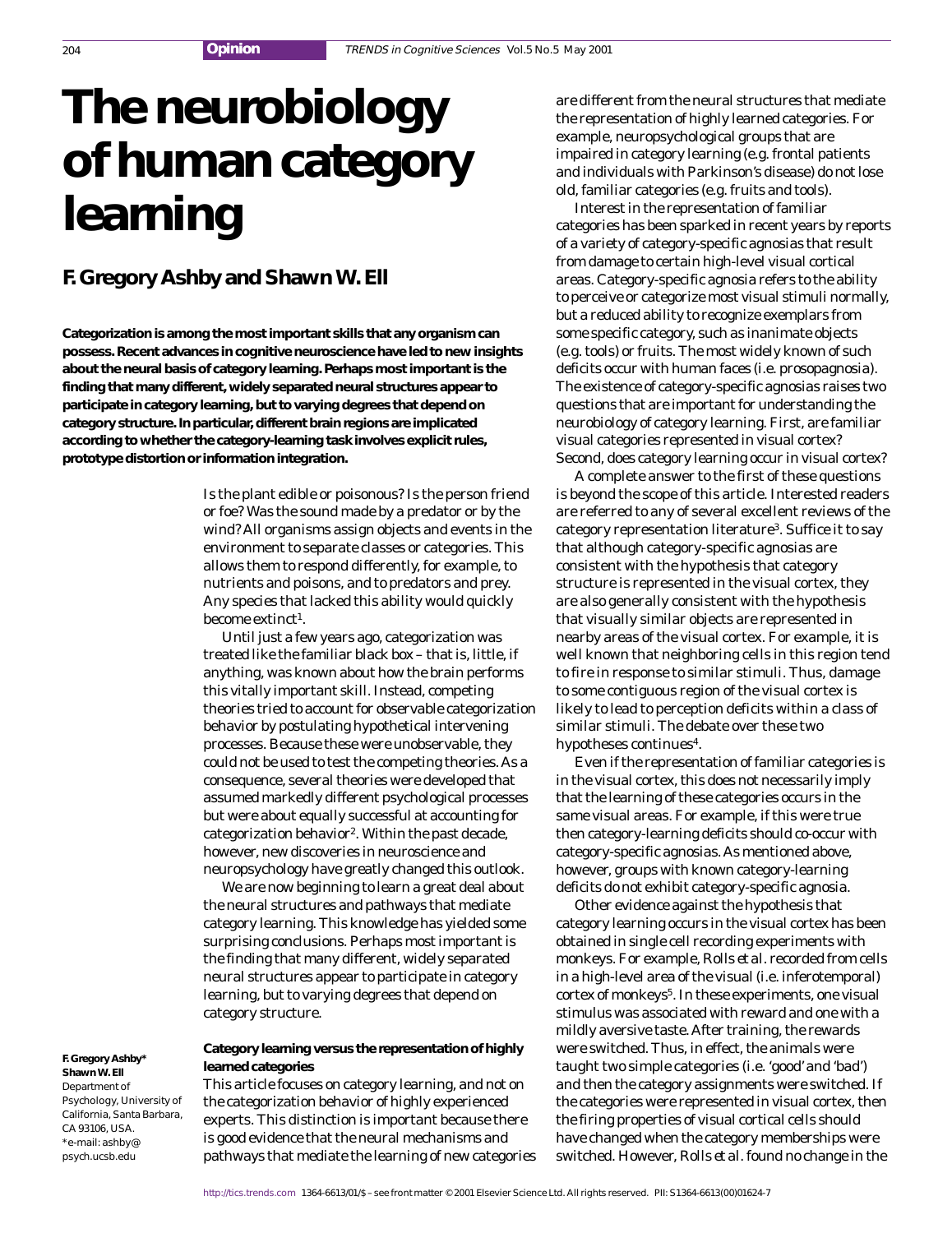# **The neurobiology of human category learning**

# **F. Gregory Ashby and Shawn W. Ell**

**Categorization is among the most important skills that any organism can possess. Recent advances in cognitive neuroscience have led to new insights about the neural basis of category learning. Perhaps most important is the finding that many different, widely separated neural structures appear to participate in category learning, but to varying degrees that depend on category structure. In particular, different brain regions are implicated according to whether the category-learning task involves explicit rules, prototype distortion or information integration.**

> Is the plant edible or poisonous? Is the person friend or foe? Was the sound made by a predator or by the wind? All organisms assign objects and events in the environment to separate classes or categories. This allows them to respond differently, for example, to nutrients and poisons, and to predators and prey. Any species that lacked this ability would quickly become extinct<sup>1</sup>.

Until just a few years ago, categorization was treated like the familiar black box – that is, little, if anything, was known about how the brain performs this vitally important skill. Instead, competing theories tried to account for observable categorization behavior by postulating hypothetical intervening processes. Because these were unobservable, they could not be used to test the competing theories. As a consequence, several theories were developed that assumed markedly different psychological processes but were about equally successful at accounting for categorization behavior2. Within the past decade, however, new discoveries in neuroscience and neuropsychology have greatly changed this outlook.

We are now beginning to learn a great deal about the neural structures and pathways that mediate category learning. This knowledge has yielded some surprising conclusions. Perhaps most important is the finding that many different, widely separated neural structures appear to participate in category learning, but to varying degrees that depend on category structure.

**Category learning versus the representation of highly learned categories**

This article focuses on category learning, and not on the categorization behavior of highly experienced experts. This distinction is important because there is good evidence that the neural mechanisms and pathways that mediate the learning of new categories are different from the neural structures that mediate the representation of highly learned categories. For example, neuropsychological groups that are impaired in category learning (e.g. frontal patients and individuals with Parkinson's disease) do not lose old, familiar categories (e.g. fruits and tools).

Interest in the representation of familiar categories has been sparked in recent years by reports of a variety of category-specific agnosias that result from damage to certain high-level visual cortical areas. Category-specific agnosia refers to the ability to perceive or categorize most visual stimuli normally, but a reduced ability to recognize exemplars from some specific category, such as inanimate objects (e.g. tools) or fruits. The most widely known of such deficits occur with human faces (i.e. prosopagnosia). The existence of category-specific agnosias raises two questions that are important for understanding the neurobiology of category learning. First, are familiar visual categories represented in visual cortex? Second, does category learning occur in visual cortex?

A complete answer to the first of these questions is beyond the scope of this article. Interested readers are referred to any of several excellent reviews of the category representation literature<sup>3</sup>. Suffice it to say that although category-specific agnosias are consistent with the hypothesis that category structure is represented in the visual cortex, they are also generally consistent with the hypothesis that visually similar objects are represented in nearby areas of the visual cortex. For example, it is well known that neighboring cells in this region tend to fire in response to similar stimuli. Thus, damage to some contiguous region of the visual cortex is likely to lead to perception deficits within a class of similar stimuli. The debate over these two hypotheses continues<sup>4</sup>.

Even if the representation of familiar categories is in the visual cortex, this does not necessarily imply that the learning of these categories occurs in the same visual areas. For example, if this were true then category-learning deficits should co-occur with category-specific agnosias. As mentioned above, however, groups with known category-learning deficits do not exhibit category-specific agnosia.

Other evidence against the hypothesis that category learning occurs in the visual cortex has been obtained in single cell recording experiments with monkeys. For example, Rolls *et al.* recorded from cells in a high-level area of the visual (i.e. inferotemporal) cortex of monkeys5. In these experiments, one visual stimulus was associated with reward and one with a mildly aversive taste. After training, the rewards were switched. Thus, in effect, the animals were taught two simple categories (i.e. 'good' and 'bad') and then the category assignments were switched. If the categories were represented in visual cortex, then the firing properties of visual cortical cells should have changed when the category memberships were switched. However, Rolls *et al.* found no change in the

**F. Gregory Ashby\* Shawn W. Ell** Department of Psychology, University of California, Santa Barbara, CA 93106, USA. \*e-mail: ashby@ psych.ucsb.edu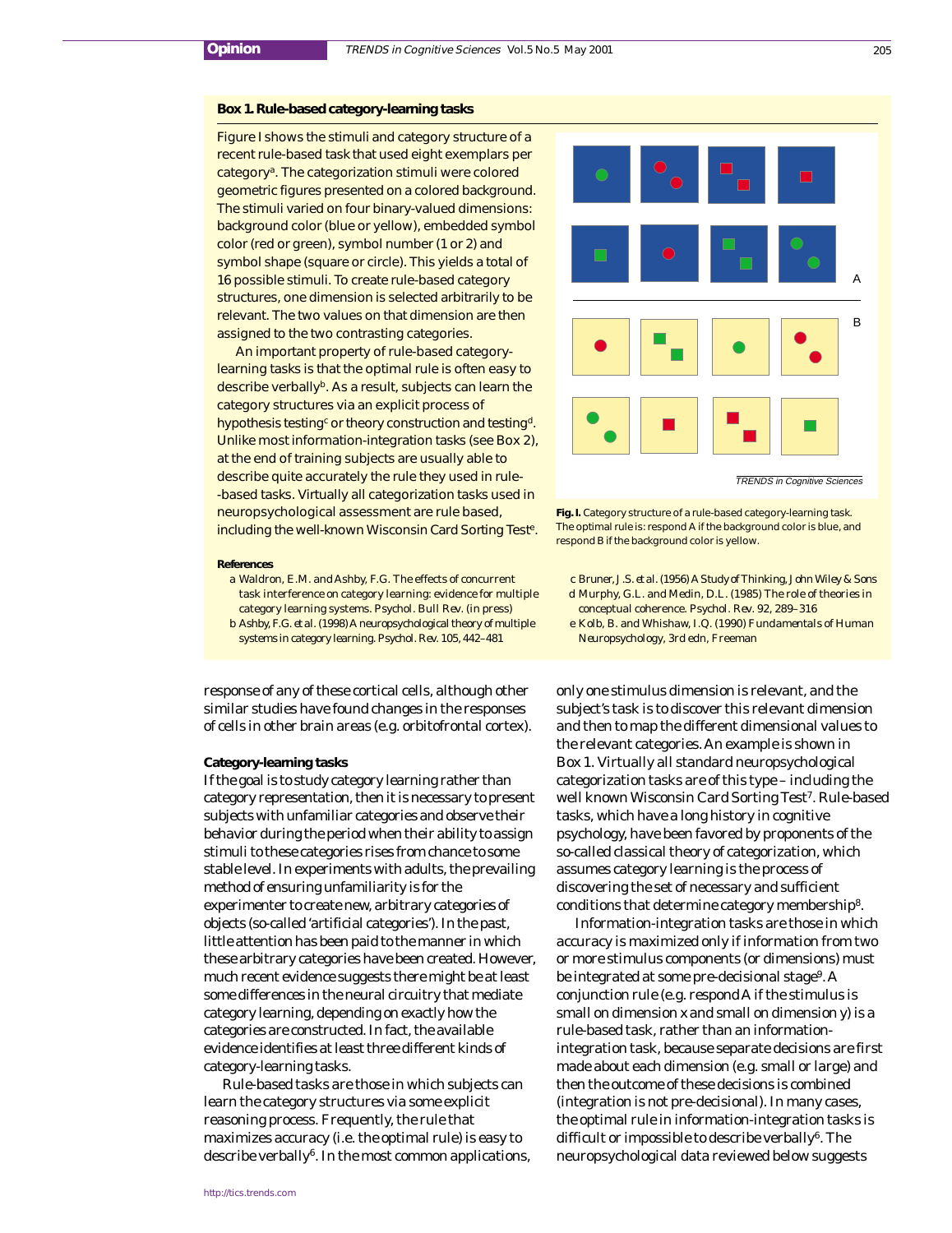### **Box 1. Rule-based category-learning tasks**

Figure I shows the stimuli and category structure of a recent rule-based task that used eight exemplars per categorya. The categorization stimuli were colored geometric figures presented on a colored background. The stimuli varied on four binary-valued dimensions: background color (blue or yellow), embedded symbol color (red or green), symbol number (1 or 2) and symbol shape (square or circle). This yields a total of 16 possible stimuli. To create rule-based category structures, one dimension is selected arbitrarily to be relevant. The two values on that dimension are then assigned to the two contrasting categories.

An important property of rule-based categorylearning tasks is that the optimal rule is often easy to describe verbally<sup>b</sup>. As a result, subjects can learn the category structures via an explicit process of hypothesis testing<sup>c</sup> or theory construction and testing<sup>d</sup>. Unlike most information-integration tasks (see Box 2), at the end of training subjects are usually able to describe quite accurately the rule they used in rule- -based tasks. Virtually all categorization tasks used in neuropsychological assessment are rule based, including the well-known Wisconsin Card Sorting Teste.

### **References**

a Waldron, E.M. and Ashby, F.G. The effects of concurrent task interference on category learning: evidence for multiple category learning systems. *Psychol. Bull Rev*. (in press) b Ashby, F.G. *et al.* (1998) A neuropsychological theory of multiple

systems in category learning. *Psychol. Rev.* 105, 442–481

response of any of these cortical cells, although other similar studies have found changes in the responses of cells in other brain areas (e.g. orbitofrontal cortex).

### **Category-learning tasks**

If the goal is to study category learning rather than category representation, then it is necessary to present subjects with unfamiliar categories and observe their behavior during the period when their ability to assign stimuli to these categories rises from chance to some stable level. In experiments with adults, the prevailing method of ensuring unfamiliarity is for the experimenter to create new, arbitrary categories of objects (so-called 'artificial categories'). In the past, little attention has been paid to the manner in which these arbitrary categories have been created. However, much recent evidence suggests there might be at least some differences in the neural circuitry that mediate category learning, depending on exactly how the categories are constructed. In fact, the available evidence identifies at least three different kinds of category-learning tasks.

Rule-based tasks are those in which subjects can learn the category structures via some explicit reasoning process. Frequently, the rule that maximizes accuracy (i.e. the optimal rule) is easy to describe verbally<sup>6</sup>. In the most common applications,



**Fig. I.** Category structure of a rule-based category-learning task. The optimal rule is: respond A if the background color is blue, and respond B if the background color is yellow.

- c Bruner, J.S. *et al.*(1956) *A Study of Thinking*, John Wiley & Sons d Murphy, G.L. and Medin, D.L. (1985) The role of theories in
- conceptual coherence. *Psychol. Rev*. 92, 289–316
- e Kolb, B. and Whishaw, I.Q. (1990) *Fundamentals of Human Neuropsychology*, 3rd edn, Freeman

only one stimulus dimension is relevant, and the subject's task is to discover this relevant dimension and then to map the different dimensional values to the relevant categories. An example is shown in Box 1. Virtually all standard neuropsychological categorization tasks are of this type – including the well known Wisconsin Card Sorting Test<sup>7</sup>. Rule-based tasks, which have a long history in cognitive psychology, have been favored by proponents of the so-called classical theory of categorization, which assumes category learning is the process of discovering the set of necessary and sufficient conditions that determine category membership8.

Information-integration tasks are those in which accuracy is maximized only if information from two or more stimulus components (or dimensions) must be integrated at some pre-decisional stage9. A conjunction rule (e.g. respond A if the stimulus is small on dimension *x* and small on dimension *y*) is a rule-based task, rather than an informationintegration task, because separate decisions are first made about each dimension (e.g. small or large) and then the outcome of these decisions is combined (integration is not pre-decisional). In many cases, the optimal rule in information-integration tasks is difficult or impossible to describe verbally<sup>6</sup>. The neuropsychological data reviewed below suggests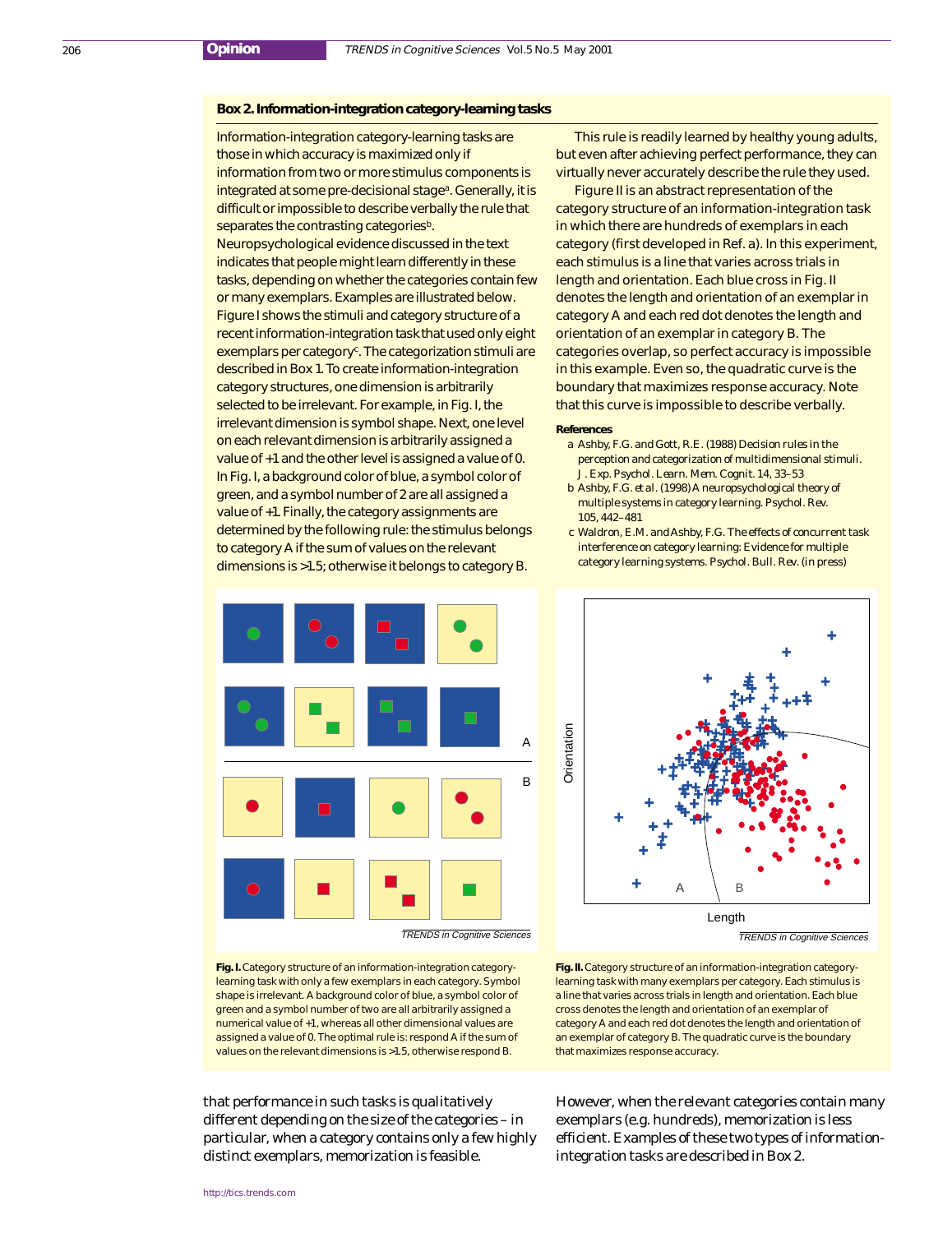# **Box 2. Information-integration category-learning tasks**

Information-integration category-learning tasks are those in which accuracy is maximized only if information from two or more stimulus components is integrated at some pre-decisional stage<sup>a</sup>. Generally, it is difficult or impossible to describe verbally the rule that separates the contrasting categories<sup>b</sup>. Neuropsychological evidence discussed in the text indicates that people might learn differently in these tasks, depending on whether the categories contain few or many exemplars. Examples are illustrated below. Figure I shows the stimuli and category structure of a recent information-integration task that used only eight exemplars per category<sup>c</sup>. The categorization stimuli are described in Box 1. To create information-integration category structures, one dimension is arbitrarily selected to be irrelevant. For example, in Fig. I, the irrelevant dimension is symbol shape. Next, one level on each relevant dimension is arbitrarily assigned a value of +1 and the other level is assigned a value of 0. In Fig. I, a background color of blue, a symbol color of green, and a symbol number of 2 are all assigned a value of +1. Finally, the category assignments are determined by the following rule: the stimulus belongs to category A if the sum of values on the relevant dimensions is >1.5; otherwise it belongs to category B.

This rule is readily learned by healthy young adults, but even after achieving perfect performance, they can virtually never accurately describe the rule they used.

Figure II is an abstract representation of the category structure of an information-integration task in which there are hundreds of exemplars in each category (first developed in Ref. a). In this experiment, each stimulus is a line that varies across trials in length and orientation. Each blue cross in Fig. II denotes the length and orientation of an exemplar in category A and each red dot denotes the length and orientation of an exemplar in category B. The categories overlap, so perfect accuracy is impossible in this example. Even so, the quadratic curve is the boundary that maximizes response accuracy. Note that this curve is impossible to describe verbally.

### **References**

- a Ashby, F.G. and Gott, R.E. (1988) Decision rules in the perception and categorization of multidimensional stimuli. *J. Exp. Psychol. Learn. Mem. Cognit.* 14, 33–53
- b Ashby, F.G. *et al.* (1998) A neuropsychological theory of multiple systems in category learning. *Psychol. Rev.* 105, 442–481
- c Waldron, E.M. and Ashby, F.G. The effects of concurrent task interference on category learning: Evidence for multiple category learning systems. *Psychol. Bull. Rev*. (in press)





**Fig. I.** Category structure of an information-integration categorylearning task with only a few exemplars in each category. Symbol shape is irrelevant. A background color of blue, a symbol color of green and a symbol number of two are all arbitrarily assigned a numerical value of +1, whereas all other dimensional values are assigned a value of 0. The optimal rule is: respond A if the sum of values on the relevant dimensions is >1.5, otherwise respond B.

that performance in such tasks is qualitatively different depending on the size of the categories – in particular, when a category contains only a few highly distinct exemplars, memorization is feasible.



However, when the relevant categories contain many exemplars (e.g. hundreds), memorization is less efficient. Examples of these two types of informationintegration tasks are described in Box 2.

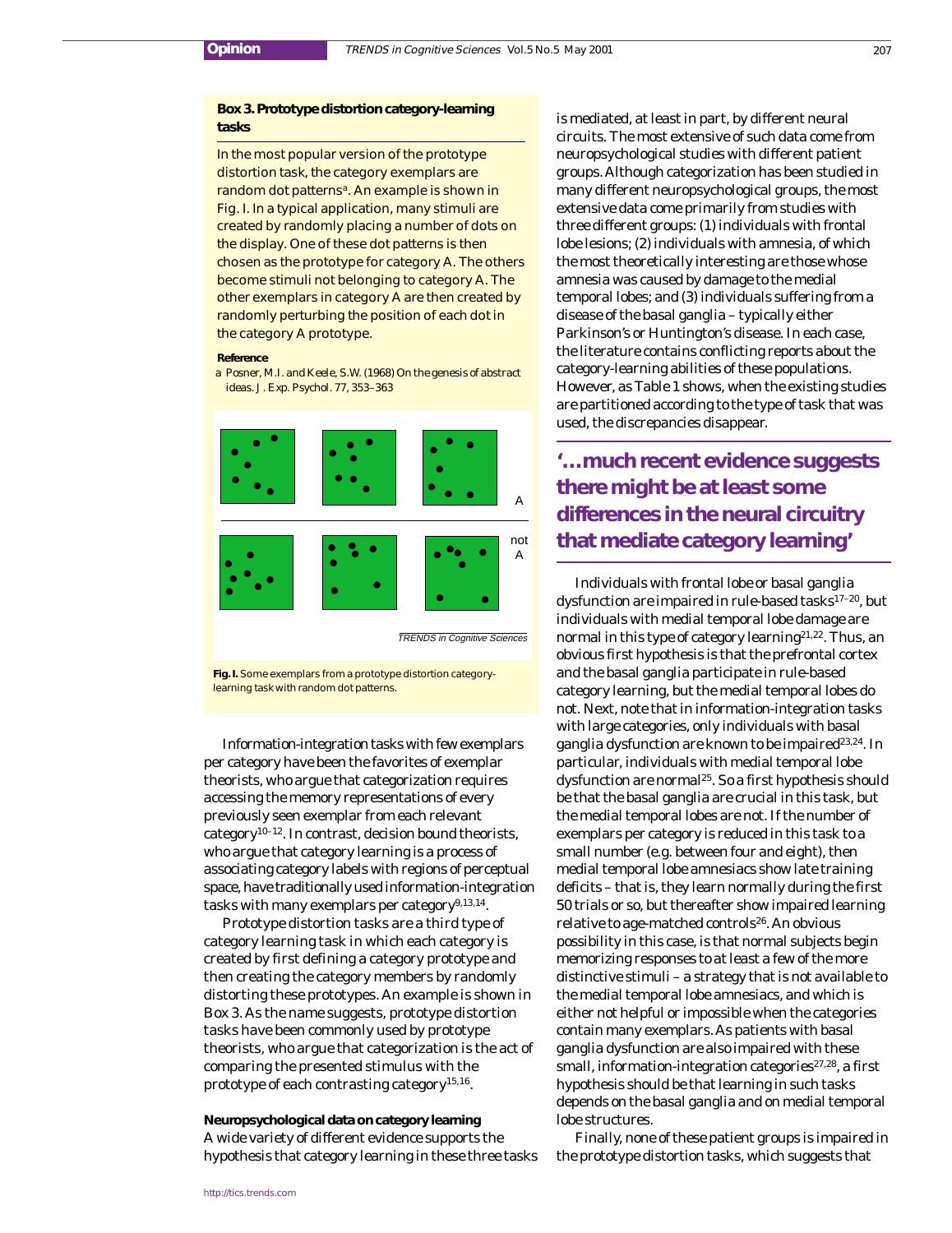# **Box 3. Prototype distortion category-learning tasks**

In the most popular version of the prototype distortion task, the category exemplars are random dot patterns<sup>a</sup>. An example is shown in Fig. I. In a typical application, many stimuli are created by randomly placing a number of dots on the display. One of these dot patterns is then chosen as the prototype for category A. The others become stimuli not belonging to category A. The other exemplars in category A are then created by randomly perturbing the position of each dot in the category A prototype.

#### **Reference**

a Posner, M.I. and Keele, S.W. (1968) On the genesis of abstract ideas. *J. Exp. Psychol*. 77, 353–363



**Fig. I.** Some exemplars from a prototype distortion categorylearning task with random dot patterns.

Information-integration tasks with few exemplars per category have been the favorites of exemplar theorists, who argue that categorization requires accessing the memory representations of every previously seen exemplar from each relevant category10–12. In contrast, decision bound theorists, who argue that category learning is a process of associating category labels with regions of perceptual space, have traditionally used information-integration tasks with many exemplars per category<sup>9,13,14</sup>.

Prototype distortion tasks are a third type of category learning task in which each category is created by first defining a category prototype and then creating the category members by randomly distorting these prototypes. An example is shown in Box 3. As the name suggests, prototype distortion tasks have been commonly used by prototype theorists, who argue that categorization is the act of comparing the presented stimulus with the prototype of each contrasting category15,16.

**Neuropsychological data on category learning** A wide variety of different evidence supports the hypothesis that category learning in these three tasks is mediated, at least in part, by different neural circuits. The most extensive of such data come from neuropsychological studies with different patient groups. Although categorization has been studied in many different neuropsychological groups, the most extensive data come primarily from studies with three different groups: (1) individuals with frontal lobe lesions; (2) individuals with amnesia, of which the most theoretically interesting are those whose amnesia was caused by damage to the medial temporal lobes; and (3) individuals suffering from a disease of the basal ganglia – typically either Parkinson's or Huntington's disease. In each case, the literature contains conflicting reports about the category-learning abilities of these populations. However, as Table 1 shows, when the existing studies are partitioned according to the type of task that was used, the discrepancies disappear.

# **'…much recent evidence suggests there might be at least some differences in the neural circuitry that mediate category learning'**

Individuals with frontal lobe or basal ganglia dysfunction are impaired in rule-based tasks<sup>17-20</sup>, but individuals with medial temporal lobe damage are normal in this type of category learning<sup>21,22</sup>. Thus, an obvious first hypothesis is that the prefrontal cortex and the basal ganglia participate in rule-based category learning, but the medial temporal lobes do not. Next, note that in information-integration tasks with large categories, only individuals with basal ganglia dysfunction are known to be impaired<sup>23,24</sup>. In particular, individuals with medial temporal lobe dysfunction are normal25. So a first hypothesis should be that the basal ganglia are crucial in this task, but the medial temporal lobes are not. If the number of exemplars per category is reduced in this task to a small number (e.g. between four and eight), then medial temporal lobe amnesiacs show late training deficits – that is, they learn normally during the first 50 trials or so, but thereafter show impaired learning relative to age-matched controls<sup>26</sup>. An obvious possibility in this case, is that normal subjects begin memorizing responses to at least a few of the more distinctive stimuli – a strategy that is not available to the medial temporal lobe amnesiacs, and which is either not helpful or impossible when the categories contain many exemplars. As patients with basal ganglia dysfunction are also impaired with these small, information-integration categories $27,28$ , a first hypothesis should be that learning in such tasks depends on the basal ganglia and on medial temporal lobe structures.

Finally, none of these patient groups is impaired in the prototype distortion tasks, which suggests that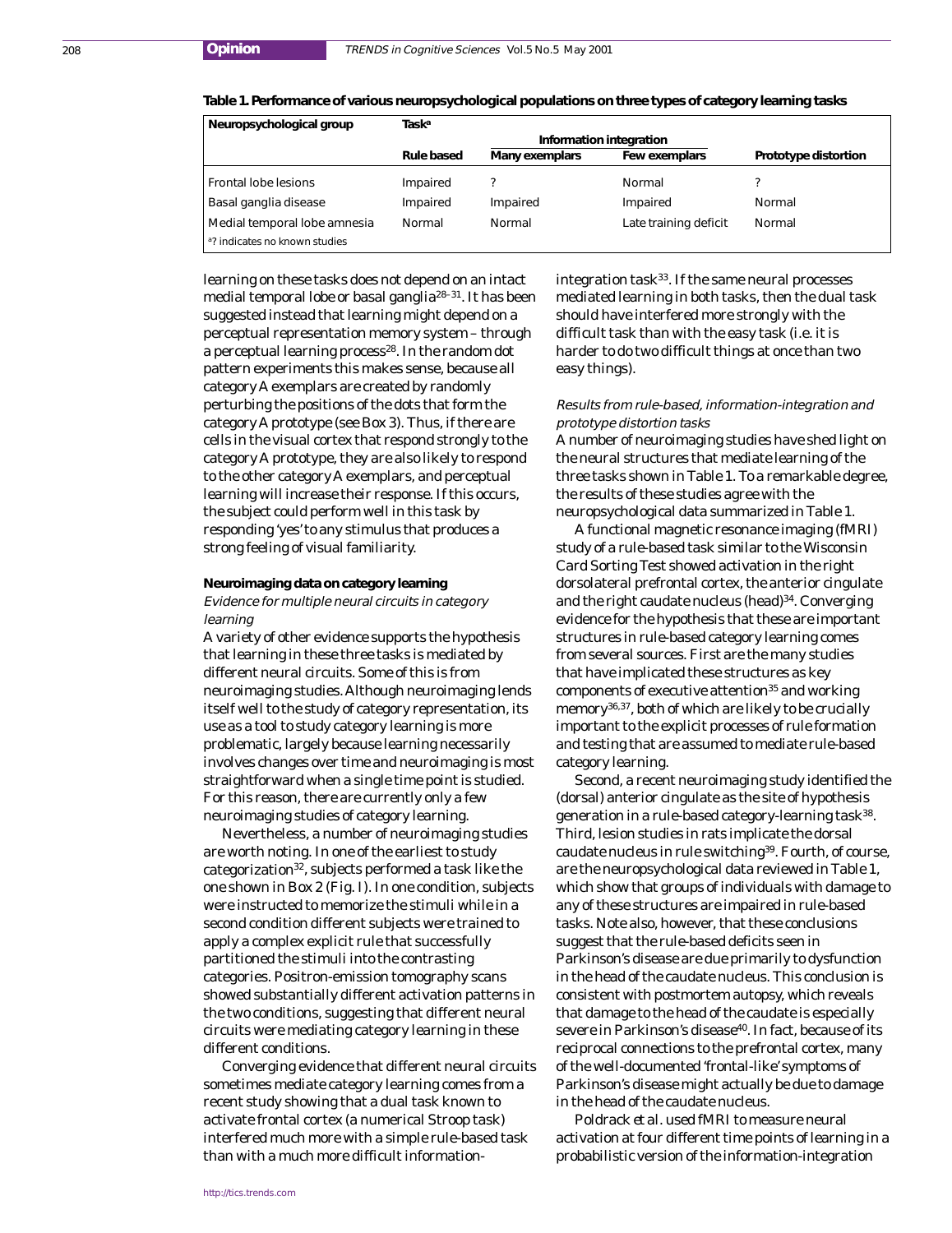| Neuropsychological group                  | Taska             |                         |                       |                      |
|-------------------------------------------|-------------------|-------------------------|-----------------------|----------------------|
|                                           |                   | Information integration |                       |                      |
|                                           | <b>Rule based</b> | Many exemplars          | Few exemplars         | Prototype distortion |
| Frontal lobe lesions                      | Impaired          |                         | Normal                |                      |
| Basal ganglia disease                     | Impaired          | Impaired                | Impaired              | Normal               |
| Medial temporal lobe amnesia              | Normal            | Normal                  | Late training deficit | Normal               |
| <sup>a</sup> ? indicates no known studies |                   |                         |                       |                      |

### **Table 1. Performance of various neuropsychological populations on three types of category learning tasks**

learning on these tasks does not depend on an intact medial temporal lobe or basal ganglia28–31. It has been suggested instead that learning might depend on a perceptual representation memory system – through a perceptual learning process $28$ . In the random dot pattern experiments this makes sense, because all category A exemplars are created by randomly perturbing the positions of the dots that form the category A prototype (see Box 3). Thus, if there are cells in the visual cortex that respond strongly to the category A prototype, they are also likely to respond to the other category A exemplars, and perceptual learning will increase their response. If this occurs, the subject could perform well in this task by responding 'yes'to any stimulus that produces a strong feeling of visual familiarity.

### **Neuroimaging data on category learning**

Evidence for multiple neural circuits in category learning

A variety of other evidence supports the hypothesis that learning in these three tasks is mediated by different neural circuits. Some of this is from neuroimaging studies. Although neuroimaging lends itself well to the study of category representation, its use as a tool to study category learning is more problematic, largely because learning necessarily involves changes over time and neuroimaging is most straightforward when a single time point is studied. For this reason, there are currently only a few neuroimaging studies of category learning.

Nevertheless, a number of neuroimaging studies are worth noting. In one of the earliest to study categorization32, subjects performed a task like the one shown in Box 2 (Fig. I). In one condition, subjects were instructed to memorize the stimuli while in a second condition different subjects were trained to apply a complex explicit rule that successfully partitioned the stimuli into the contrasting categories. Positron-emission tomography scans showed substantially different activation patterns in the two conditions, suggesting that different neural circuits were mediating category learning in these different conditions.

Converging evidence that different neural circuits sometimes mediate category learning comes from a recent study showing that a dual task known to activate frontal cortex (a numerical Stroop task) interfered much more with a simple rule-based task than with a much more difficult informationintegration task $33$ . If the same neural processes mediated learning in both tasks, then the dual task should have interfered more strongly with the difficult task than with the easy task (i.e. it is harder to do two difficult things at once than two easy things).

### Results from rule-based, information-integration and prototype distortion tasks

A number of neuroimaging studies have shed light on the neural structures that mediate learning of the three tasks shown in Table 1. To a remarkable degree, the results of these studies agree with the neuropsychological data summarized in Table 1.

A functional magnetic resonance imaging (fMRI) study of a rule-based task similar to the Wisconsin Card Sorting Test showed activation in the right dorsolateral prefrontal cortex, the anterior cingulate and the right caudate nucleus (head)<sup>34</sup>. Converging evidence for the hypothesis that these are important structures in rule-based category learning comes from several sources. First are the many studies that have implicated these structures as key components of executive attention $35$  and working memory36,37, both of which are likely to be crucially important to the explicit processes of rule formation and testing that are assumed to mediate rule-based category learning.

Second, a recent neuroimaging study identified the (dorsal) anterior cingulate as the site of hypothesis generation in a rule-based category-learning task<sup>38</sup>. Third, lesion studies in rats implicate the dorsal caudate nucleus in rule switching<sup>39</sup>. Fourth, of course, are the neuropsychological data reviewed in Table 1, which show that groups of individuals with damage to any of these structures are impaired in rule-based tasks. Note also, however, that these conclusions suggest that the rule-based deficits seen in Parkinson's disease are due primarily to dysfunction in the head of the caudate nucleus. This conclusion is consistent with postmortem autopsy, which reveals that damage to the head of the caudate is especially severe in Parkinson's disease<sup>40</sup>. In fact, because of its reciprocal connections to the prefrontal cortex, many of the well-documented 'frontal-like'symptoms of Parkinson's disease might actually be due to damage in the head of the caudate nucleus.

Poldrack *et al.* used fMRI to measure neural activation at four different time points of learning in a probabilistic version of the information-integration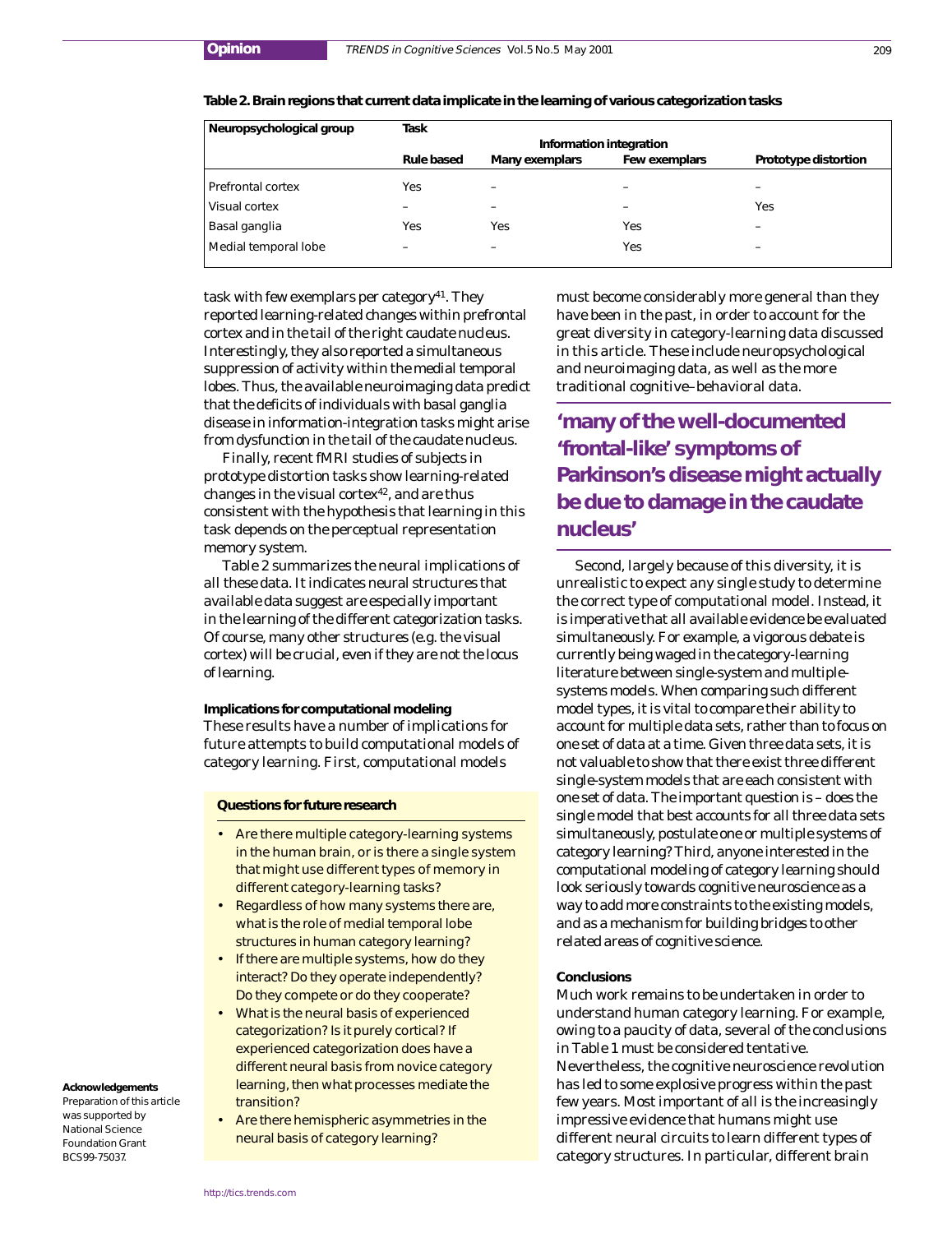| Task                    |                       |               |                          |  |
|-------------------------|-----------------------|---------------|--------------------------|--|
| Information integration |                       |               |                          |  |
| <b>Rule based</b>       | <b>Many exemplars</b> | Few exemplars | Prototype distortion     |  |
| Yes                     |                       |               | -                        |  |
|                         |                       |               | Yes                      |  |
| Yes                     | Yes                   | Yes           | $\overline{\phantom{0}}$ |  |
|                         | -                     | Yes           | $\overline{\phantom{0}}$ |  |
|                         |                       |               |                          |  |

**Table 2. Brain regions that current data implicate in the learning of various categorization tasks**

task with few exemplars per category<sup>41</sup>. They reported learning-related changes within prefrontal cortex and in the tail of the right caudate nucleus. Interestingly, they also reported a simultaneous suppression of activity within the medial temporal lobes. Thus, the available neuroimaging data predict that the deficits of individuals with basal ganglia disease in information-integration tasks might arise from dysfunction in the tail of the caudate nucleus.

Finally, recent fMRI studies of subjects in prototype distortion tasks show learning-related changes in the visual cortex $42$ , and are thus consistent with the hypothesis that learning in this task depends on the perceptual representation memory system.

Table 2 summarizes the neural implications of all these data. It indicates neural structures that available data suggest are especially important in the learning of the different categorization tasks. Of course, many other structures (e.g. the visual cortex) will be crucial, even if they are not the locus of learning.

**Implications for computational modeling** These results have a number of implications for future attempts to build computational models of category learning. First, computational models

### **Questions for future research**

- Are there multiple category-learning systems in the human brain, or is there a single system that might use different types of memory in different category-learning tasks?
- Regardless of how many systems there are, what is the role of medial temporal lobe structures in human category learning?
- If there are multiple systems, how do they interact? Do they operate independently? Do they compete or do they cooperate?
- What is the neural basis of experienced categorization? Is it purely cortical? If experienced categorization does have a different neural basis from novice category learning, then what processes mediate the transition?
- Are there hemispheric asymmetries in the neural basis of category learning?

must become considerably more general than they have been in the past, in order to account for the great diversity in category-learning data discussed in this article. These include neuropsychological and neuroimaging data, as well as the more traditional cognitive–behavioral data.

**'many of the well-documented 'frontal-like' symptoms of Parkinson's disease might actually be due to damage in the caudate nucleus'**

Second, largely because of this diversity, it is unrealistic to expect any single study to determine the correct type of computational model. Instead, it is imperative that all available evidence be evaluated simultaneously. For example, a vigorous debate is currently being waged in the category-learning literature between single-system and multiplesystems models. When comparing such different model types, it is vital to compare their ability to account for multiple data sets, rather than to focus on one set of data at a time. Given three data sets, it is not valuable to show that there exist three different single-system models that are each consistent with one set of data. The important question is – does the single model that best accounts for all three data sets simultaneously, postulate one or multiple systems of category learning? Third, anyone interested in the computational modeling of category learning should look seriously towards cognitive neuroscience as a way to add more constraints to the existing models, and as a mechanism for building bridges to other related areas of cognitive science.

## **Conclusions**

Much work remains to be undertaken in order to understand human category learning. For example, owing to a paucity of data, several of the conclusions in Table 1 must be considered tentative. Nevertheless, the cognitive neuroscience revolution has led to some explosive progress within the past few years. Most important of all is the increasingly impressive evidence that humans might use different neural circuits to learn different types of category structures. In particular, different brain

#### **Acknowledgements** Preparation of this article

was supported by National Science Foundation Grant BCS99-75037.